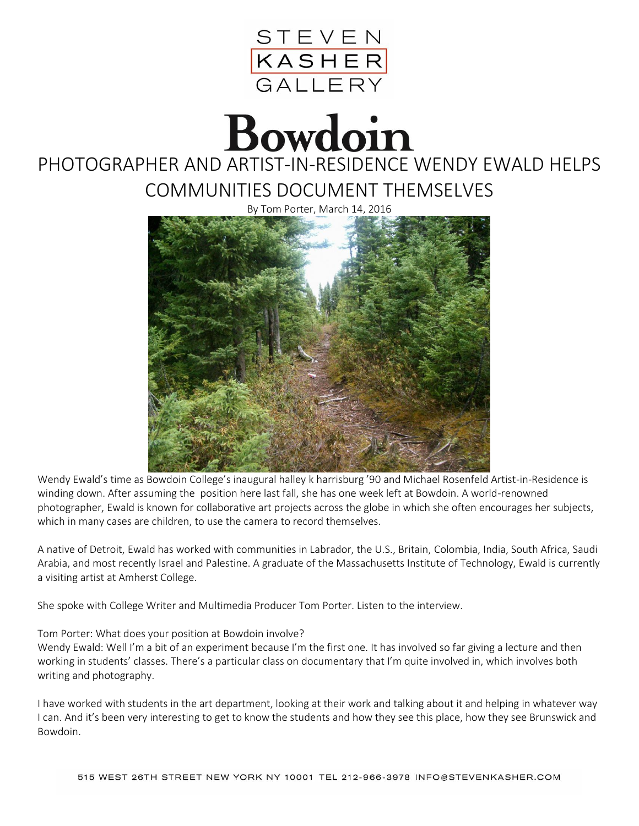

## Bowdoin

## PHOTOGRAPHER AND ARTIST-IN-RESIDENCE WENDY EWALD HELPS COMMUNITIES DOCUMENT THEMSELVES

By Tom Porter, March 14, 2016



Wendy Ewald's time as Bowdoin College's inaugural halley k harrisburg '90 and Michael Rosenfeld Artist-in-Residence is winding down. After assuming the position here last fall, she has one week left at Bowdoin. A world-renowned photographer, Ewald is known for collaborative art projects across the globe in which she often encourages her subjects, which in many cases are children, to use the camera to record themselves.

A native of Detroit, Ewald has worked with communities in Labrador, the U.S., Britain, Colombia, India, South Africa, Saudi Arabia, and most recently Israel and Palestine. A graduate of the Massachusetts Institute of Technology, Ewald is currently a visiting artist at Amherst College.

She spoke with College Writer and Multimedia Producer Tom Porter. Listen to the interview.

## Tom Porter: What does your position at Bowdoin involve?

Wendy Ewald: Well I'm a bit of an experiment because I'm the first one. It has involved so far giving a lecture and then working in students' classes. There's a particular class on documentary that I'm quite involved in, which involves both writing and photography.

I have worked with students in the art department, looking at their work and talking about it and helping in whatever way I can. And it's been very interesting to get to know the students and how they see this place, how they see Brunswick and Bowdoin.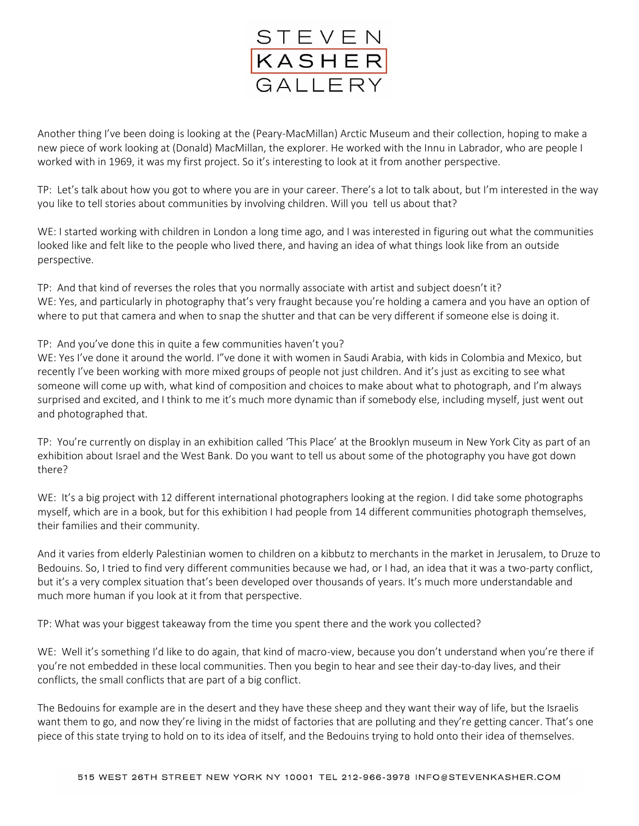

Another thing I've been doing is looking at the (Peary-MacMillan) Arctic Museum and their collection, hoping to make a new piece of work looking at (Donald) MacMillan, the explorer. He worked with the Innu in Labrador, who are people I worked with in 1969, it was my first project. So it's interesting to look at it from another perspective.

TP: Let's talk about how you got to where you are in your career. There's a lot to talk about, but I'm interested in the way you like to tell stories about communities by involving children. Will you tell us about that?

WE: I started working with children in London a long time ago, and I was interested in figuring out what the communities looked like and felt like to the people who lived there, and having an idea of what things look like from an outside perspective.

TP: And that kind of reverses the roles that you normally associate with artist and subject doesn't it? WE: Yes, and particularly in photography that's very fraught because you're holding a camera and you have an option of where to put that camera and when to snap the shutter and that can be very different if someone else is doing it.

## TP: And you've done this in quite a few communities haven't you?

WE: Yes I've done it around the world. I"ve done it with women in Saudi Arabia, with kids in Colombia and Mexico, but recently I've been working with more mixed groups of people not just children. And it's just as exciting to see what someone will come up with, what kind of composition and choices to make about what to photograph, and I'm always surprised and excited, and I think to me it's much more dynamic than if somebody else, including myself, just went out and photographed that.

TP: You're currently on display in an exhibition called 'This Place' at the Brooklyn museum in New York City as part of an exhibition about Israel and the West Bank. Do you want to tell us about some of the photography you have got down there?

WE: It's a big project with 12 different international photographers looking at the region. I did take some photographs myself, which are in a book, but for this exhibition I had people from 14 different communities photograph themselves, their families and their community.

And it varies from elderly Palestinian women to children on a kibbutz to merchants in the market in Jerusalem, to Druze to Bedouins. So, I tried to find very different communities because we had, or I had, an idea that it was a two-party conflict, but it's a very complex situation that's been developed over thousands of years. It's much more understandable and much more human if you look at it from that perspective.

TP: What was your biggest takeaway from the time you spent there and the work you collected?

WE: Well it's something I'd like to do again, that kind of macro-view, because you don't understand when you're there if you're not embedded in these local communities. Then you begin to hear and see their day-to-day lives, and their conflicts, the small conflicts that are part of a big conflict.

The Bedouins for example are in the desert and they have these sheep and they want their way of life, but the Israelis want them to go, and now they're living in the midst of factories that are polluting and they're getting cancer. That's one piece of this state trying to hold on to its idea of itself, and the Bedouins trying to hold onto their idea of themselves.